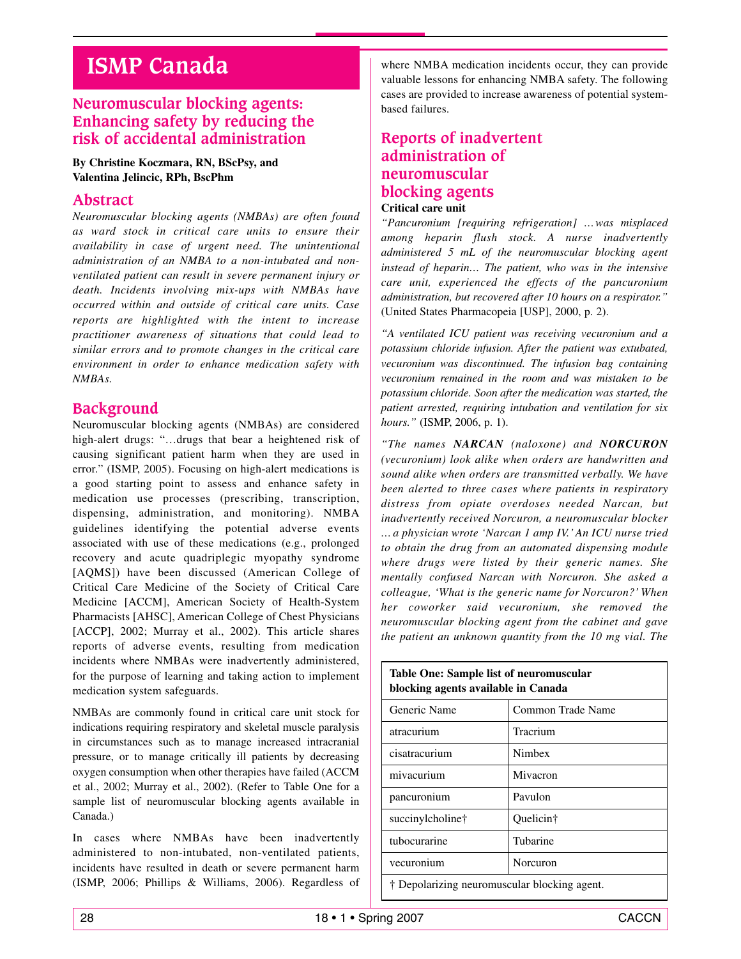# **ISMP Canada**

# **Neuromuscular blocking agents: Enhancing safety by reducing the risk of accidental administration**

## **By Christine Koczmara, RN, BScPsy, and Valentina Jelincic, RPh, BscPhm**

## **Abstract**

*Neuromuscular blocking agents (NMBAs) are often found as ward stock in critical care units to ensure their availability in case of urgent need. The unintentional administration of an NMBA to a non-intubated and nonventilated patient can result in severe permanent injury or death. Incidents involving mix-ups with NMBAs have occurred within and outside of critical care units. Case reports are highlighted with the intent to increase practitioner awareness of situations that could lead to similar errors and to promote changes in the critical care environment in order to enhance medication safety with NMBAs.*

## **Background**

Neuromuscular blocking agents (NMBAs) are considered high-alert drugs: "…drugs that bear a heightened risk of causing significant patient harm when they are used in error." (ISMP, 2005). Focusing on high-alert medications is a good starting point to assess and enhance safety in medication use processes (prescribing, transcription, dispensing, administration, and monitoring). NMBA guidelines identifying the potential adverse events associated with use of these medications (e.g., prolonged recovery and acute quadriplegic myopathy syndrome [AQMS]) have been discussed (American College of Critical Care Medicine of the Society of Critical Care Medicine [ACCM], American Society of Health-System Pharmacists [AHSC], American College of Chest Physicians [ACCP], 2002; Murray et al., 2002). This article shares reports of adverse events, resulting from medication incidents where NMBAs were inadvertently administered, for the purpose of learning and taking action to implement medication system safeguards.

NMBAs are commonly found in critical care unit stock for indications requiring respiratory and skeletal muscle paralysis in circumstances such as to manage increased intracranial pressure, or to manage critically ill patients by decreasing oxygen consumption when other therapies have failed (ACCM et al., 2002; Murray et al., 2002). (Refer to Table One for a sample list of neuromuscular blocking agents available in Canada.)

In cases where NMBAs have been inadvertently administered to non-intubated, non-ventilated patients, incidents have resulted in death or severe permanent harm (ISMP, 2006; Phillips & Williams, 2006). Regardless of where NMBA medication incidents occur, they can provide valuable lessons for enhancing NMBA safety. The following cases are provided to increase awareness of potential systembased failures.

## **Reports of inadvertent administration of neuromuscular blocking agents Critical care unit**

*"Pancuronium [requiring refrigeration] …was misplaced among heparin flush stock. A nurse inadvertently administered 5 mL of the neuromuscular blocking agent instead of heparin… The patient, who was in the intensive care unit, experienced the effects of the pancuronium administration, but recovered after 10 hours on a respirator."* (United States Pharmacopeia [USP], 2000, p. 2).

*"A ventilated ICU patient was receiving vecuronium and a potassium chloride infusion. After the patient was extubated, vecuronium was discontinued. The infusion bag containing vecuronium remained in the room and was mistaken to be potassium chloride. Soon after the medication was started, the patient arrested, requiring intubation and ventilation for six hours."* (ISMP, 2006, p. 1).

*"The names NARCAN (naloxone) and NORCURON (vecuronium) look alike when orders are handwritten and sound alike when orders are transmitted verbally. We have been alerted to three cases where patients in respiratory distress from opiate overdoses needed Narcan, but inadvertently received Norcuron, a neuromuscular blocker … a physician wrote 'Narcan 1 amp IV.' An ICU nurse tried to obtain the drug from an automated dispensing module where drugs were listed by their generic names. She mentally confused Narcan with Norcuron. She asked a colleague, 'What is the generic name for Norcuron?' When her coworker said vecuronium, she removed the neuromuscular blocking agent from the cabinet and gave the patient an unknown quantity from the 10 mg vial. The*

| blocking agents available in Canada          |                   |
|----------------------------------------------|-------------------|
| Generic Name                                 | Common Trade Name |
| atracurium                                   | Tracrium          |
| cisatracurium                                | Nimbex            |
| mivacurium                                   | Mivacron          |
| pancuronium                                  | Pavulon           |
| succinylcholine†                             | Quelicin†         |
| tubocurarine                                 | Tubarine          |
| vecuronium                                   | Norcuron          |
| † Depolarizing neuromuscular blocking agent. |                   |

**Table One: Sample list of neuromuscular**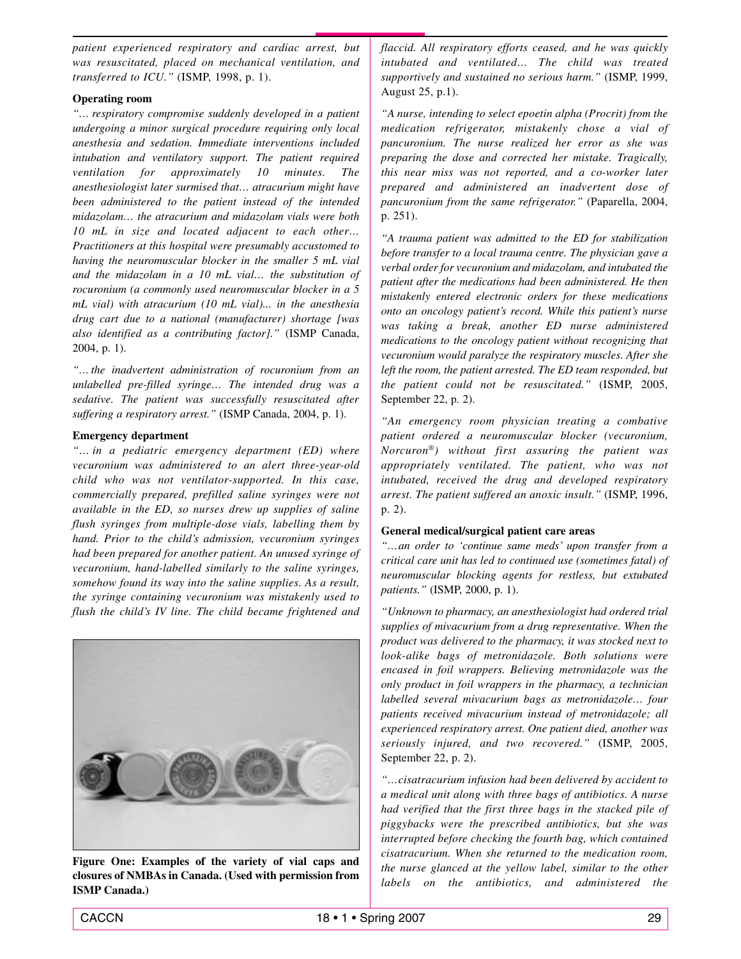*patient experienced respiratory and cardiac arrest, but was resuscitated, placed on mechanical ventilation, and transferred to ICU."* (ISMP, 1998, p. 1).

#### **Operating room**

*"… respiratory compromise suddenly developed in a patient undergoing a minor surgical procedure requiring only local anesthesia and sedation. Immediate interventions included intubation and ventilatory support. The patient required ventilation for approximately 10 minutes. The anesthesiologist later surmised that… atracurium might have been administered to the patient instead of the intended midazolam… the atracurium and midazolam vials were both 10 mL in size and located adjacent to each other… Practitioners at this hospital were presumably accustomed to having the neuromuscular blocker in the smaller 5 mL vial and the midazolam in a 10 mL vial… the substitution of rocuronium (a commonly used neuromuscular blocker in a 5 mL vial) with atracurium (10 mL vial)... in the anesthesia drug cart due to a national (manufacturer) shortage [was also identified as a contributing factor]."* (ISMP Canada, 2004, p. 1).

*"… the inadvertent administration of rocuronium from an unlabelled pre-filled syringe… The intended drug was a sedative. The patient was successfully resuscitated after suffering a respiratory arrest."* (ISMP Canada, 2004, p. 1).

#### **Emergency department**

*"… in a pediatric emergency department (ED) where vecuronium was administered to an alert three-year-old child who was not ventilator-supported. In this case, commercially prepared, prefilled saline syringes were not available in the ED, so nurses drew up supplies of saline flush syringes from multiple-dose vials, labelling them by hand. Prior to the child's admission, vecuronium syringes had been prepared for another patient. An unused syringe of vecuronium, hand-labelled similarly to the saline syringes, somehow found its way into the saline supplies. As a result, the syringe containing vecuronium was mistakenly used to flush the child's IV line. The child became frightened and*



**Figure One: Examples of the variety of vial caps and closures of NMBAs in Canada. (Used with permission from ISMP Canada.)**

*flaccid. All respiratory efforts ceased, and he was quickly intubated and ventilated… The child was treated supportively and sustained no serious harm."* (ISMP, 1999, August 25, p.1).

*"A nurse, intending to select epoetin alpha (Procrit) from the medication refrigerator, mistakenly chose a vial of pancuronium. The nurse realized her error as she was preparing the dose and corrected her mistake. Tragically, this near miss was not reported, and a co-worker later prepared and administered an inadvertent dose of pancuronium from the same refrigerator."* (Paparella, 2004, p. 251).

*"A trauma patient was admitted to the ED for stabilization before transfer to a local trauma centre. The physician gave a verbal order for vecuronium and midazolam, and intubated the patient after the medications had been administered. He then mistakenly entered electronic orders for these medications onto an oncology patient's record. While this patient's nurse was taking a break, another ED nurse administered medications to the oncology patient without recognizing that vecuronium would paralyze the respiratory muscles. After she left the room, the patient arrested. The ED team responded, but the patient could not be resuscitated."* (ISMP, 2005, September 22, p. 2).

*"An emergency room physician treating a combative patient ordered a neuromuscular blocker (vecuronium, Norcuron®) without first assuring the patient was appropriately ventilated. The patient, who was not intubated, received the drug and developed respiratory arrest. The patient suffered an anoxic insult."* (ISMP, 1996, p. 2).

#### **General medical/surgical patient care areas**

*"…an order to 'continue same meds' upon transfer from a critical care unit has led to continued use (sometimes fatal) of neuromuscular blocking agents for restless, but extubated patients."* (ISMP, 2000, p. 1).

*"Unknown to pharmacy, an anesthesiologist had ordered trial supplies of mivacurium from a drug representative. When the product was delivered to the pharmacy, it was stocked next to look-alike bags of metronidazole. Both solutions were encased in foil wrappers. Believing metronidazole was the only product in foil wrappers in the pharmacy, a technician labelled several mivacurium bags as metronidazole… four patients received mivacurium instead of metronidazole; all experienced respiratory arrest. One patient died, another was seriously injured, and two recovered."* (ISMP, 2005, September 22, p. 2).

*"…cisatracurium infusion had been delivered by accident to a medical unit along with three bags of antibiotics. A nurse had verified that the first three bags in the stacked pile of piggybacks were the prescribed antibiotics, but she was interrupted before checking the fourth bag, which contained cisatracurium. When she returned to the medication room, the nurse glanced at the yellow label, similar to the other labels on the antibiotics, and administered the*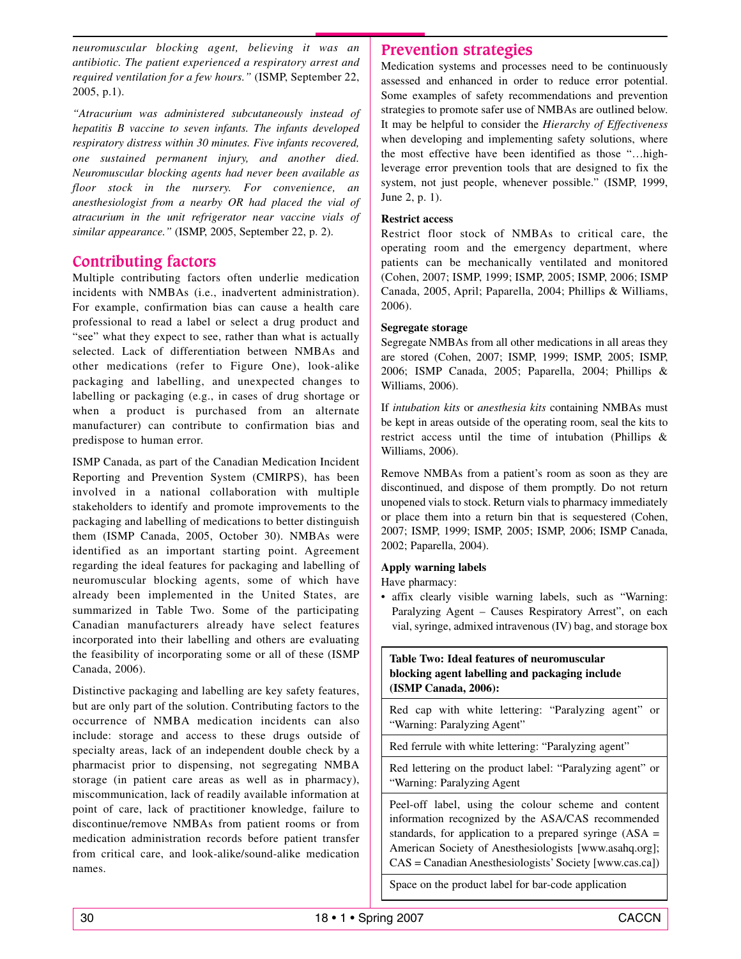*neuromuscular blocking agent, believing it was an antibiotic. The patient experienced a respiratory arrest and required ventilation for a few hours."* (ISMP, September 22, 2005, p.1).

*"Atracurium was administered subcutaneously instead of hepatitis B vaccine to seven infants. The infants developed respiratory distress within 30 minutes. Five infants recovered, one sustained permanent injury, and another died. Neuromuscular blocking agents had never been available as floor stock in the nursery. For convenience, an anesthesiologist from a nearby OR had placed the vial of atracurium in the unit refrigerator near vaccine vials of similar appearance."* (ISMP, 2005, September 22, p. 2).

# **Contributing factors**

Multiple contributing factors often underlie medication incidents with NMBAs (i.e., inadvertent administration). For example, confirmation bias can cause a health care professional to read a label or select a drug product and "see" what they expect to see, rather than what is actually selected. Lack of differentiation between NMBAs and other medications (refer to Figure One), look-alike packaging and labelling, and unexpected changes to labelling or packaging (e.g., in cases of drug shortage or when a product is purchased from an alternate manufacturer) can contribute to confirmation bias and predispose to human error.

ISMP Canada, as part of the Canadian Medication Incident Reporting and Prevention System (CMIRPS), has been involved in a national collaboration with multiple stakeholders to identify and promote improvements to the packaging and labelling of medications to better distinguish them (ISMP Canada, 2005, October 30). NMBAs were identified as an important starting point. Agreement regarding the ideal features for packaging and labelling of neuromuscular blocking agents, some of which have already been implemented in the United States, are summarized in Table Two. Some of the participating Canadian manufacturers already have select features incorporated into their labelling and others are evaluating the feasibility of incorporating some or all of these (ISMP Canada, 2006).

Distinctive packaging and labelling are key safety features, but are only part of the solution. Contributing factors to the occurrence of NMBA medication incidents can also include: storage and access to these drugs outside of specialty areas, lack of an independent double check by a pharmacist prior to dispensing, not segregating NMBA storage (in patient care areas as well as in pharmacy), miscommunication, lack of readily available information at point of care, lack of practitioner knowledge, failure to discontinue/remove NMBAs from patient rooms or from medication administration records before patient transfer from critical care, and look-alike/sound-alike medication names.

## **Prevention strategies**

Medication systems and processes need to be continuously assessed and enhanced in order to reduce error potential. Some examples of safety recommendations and prevention strategies to promote safer use of NMBAs are outlined below. It may be helpful to consider the *Hierarchy of Effectiveness* when developing and implementing safety solutions, where the most effective have been identified as those "…highleverage error prevention tools that are designed to fix the system, not just people, whenever possible." (ISMP, 1999, June 2, p. 1).

## **Restrict access**

Restrict floor stock of NMBAs to critical care, the operating room and the emergency department, where patients can be mechanically ventilated and monitored (Cohen, 2007; ISMP, 1999; ISMP, 2005; ISMP, 2006; ISMP Canada, 2005, April; Paparella, 2004; Phillips & Williams, 2006).

#### **Segregate storage**

Segregate NMBAs from all other medications in all areas they are stored (Cohen, 2007; ISMP, 1999; ISMP, 2005; ISMP, 2006; ISMP Canada, 2005; Paparella, 2004; Phillips & Williams, 2006).

If *intubation kits* or *anesthesia kits* containing NMBAs must be kept in areas outside of the operating room, seal the kits to restrict access until the time of intubation (Phillips & Williams, 2006).

Remove NMBAs from a patient's room as soon as they are discontinued, and dispose of them promptly. Do not return unopened vials to stock. Return vials to pharmacy immediately or place them into a return bin that is sequestered (Cohen, 2007; ISMP, 1999; ISMP, 2005; ISMP, 2006; ISMP Canada, 2002; Paparella, 2004).

#### **Apply warning labels**

Have pharmacy:

• affix clearly visible warning labels, such as "Warning: Paralyzing Agent – Causes Respiratory Arrest", on each vial, syringe, admixed intravenous (IV) bag, and storage box

#### **Table Two: Ideal features of neuromuscular blocking agent labelling and packaging include (ISMP Canada, 2006):**

Red cap with white lettering: "Paralyzing agent" or "Warning: Paralyzing Agent"

Red ferrule with white lettering: "Paralyzing agent"

Red lettering on the product label: "Paralyzing agent" or "Warning: Paralyzing Agent

Peel-off label, using the colour scheme and content information recognized by the ASA/CAS recommended standards, for application to a prepared syringe  $(ASA =$ American Society of Anesthesiologists [www.asahq.org]; CAS = Canadian Anesthesiologists' Society [www.cas.ca])

Space on the product label for bar-code application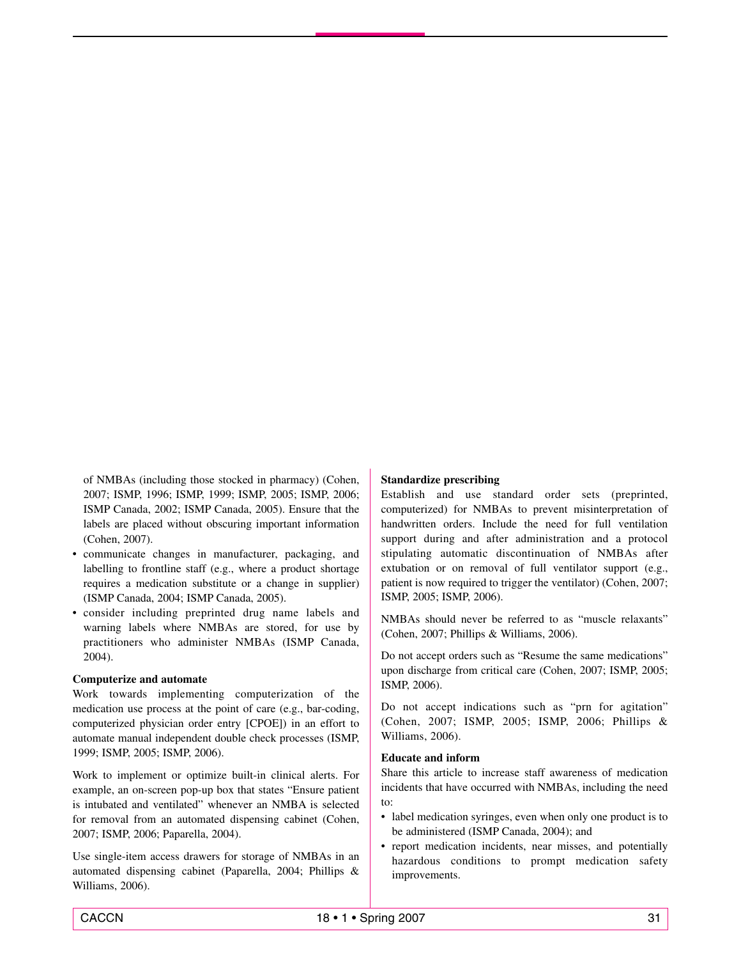of NMBAs (including those stocked in pharmacy) (Cohen, 2007; ISMP, 1996; ISMP, 1999; ISMP, 2005; ISMP, 2006; ISMP Canada, 2002; ISMP Canada, 2005). Ensure that the labels are placed without obscuring important information (Cohen, 2007).

- communicate changes in manufacturer, packaging, and labelling to frontline staff (e.g., where a product shortage requires a medication substitute or a change in supplier) (ISMP Canada, 2004; ISMP Canada, 2005).
- consider including preprinted drug name labels and warning labels where NMBAs are stored, for use by practitioners who administer NMBAs (ISMP Canada, 2004).

#### **Computerize and automate**

Work towards implementing computerization of the medication use process at the point of care (e.g., bar-coding, computerized physician order entry [CPOE]) in an effort to automate manual independent double check processes (ISMP, 1999; ISMP, 2005; ISMP, 2006).

Work to implement or optimize built-in clinical alerts. For example, an on-screen pop-up box that states "Ensure patient is intubated and ventilated" whenever an NMBA is selected for removal from an automated dispensing cabinet (Cohen, 2007; ISMP, 2006; Paparella, 2004).

Use single-item access drawers for storage of NMBAs in an automated dispensing cabinet (Paparella, 2004; Phillips & Williams, 2006).

#### **Standardize prescribing**

Establish and use standard order sets (preprinted, computerized) for NMBAs to prevent misinterpretation of handwritten orders. Include the need for full ventilation support during and after administration and a protocol stipulating automatic discontinuation of NMBAs after extubation or on removal of full ventilator support (e.g., patient is now required to trigger the ventilator) (Cohen, 2007; ISMP, 2005; ISMP, 2006).

NMBAs should never be referred to as "muscle relaxants" (Cohen, 2007; Phillips & Williams, 2006).

Do not accept orders such as "Resume the same medications" upon discharge from critical care (Cohen, 2007; ISMP, 2005; ISMP, 2006).

Do not accept indications such as "prn for agitation" (Cohen, 2007; ISMP, 2005; ISMP, 2006; Phillips & Williams, 2006).

#### **Educate and inform**

Share this article to increase staff awareness of medication incidents that have occurred with NMBAs, including the need to:

- label medication syringes, even when only one product is to be administered (ISMP Canada, 2004); and
- report medication incidents, near misses, and potentially hazardous conditions to prompt medication safety improvements.